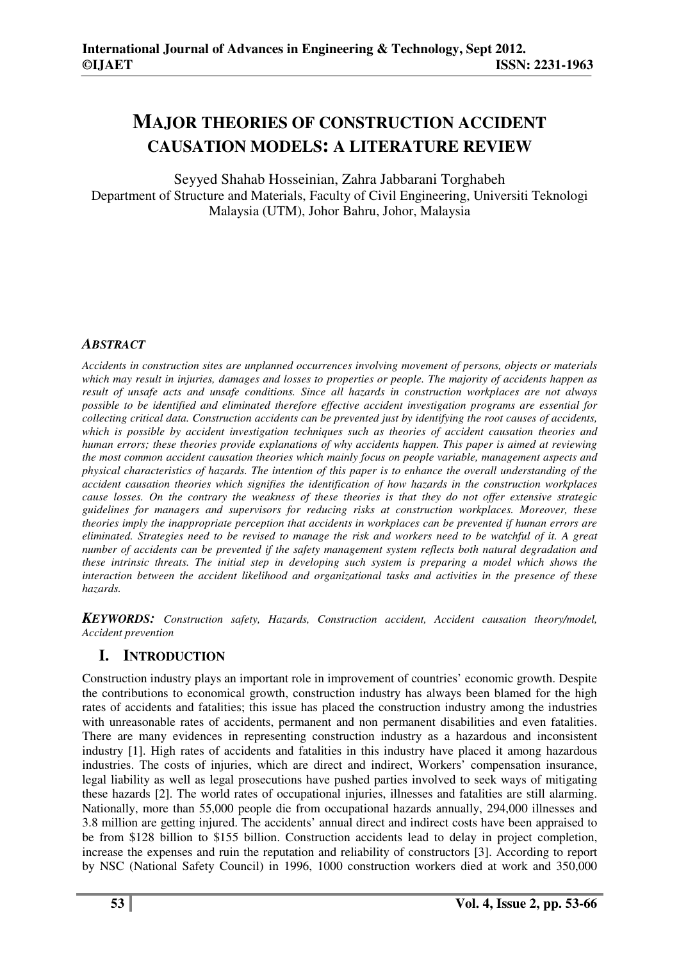# **MAJOR THEORIES OF CONSTRUCTION ACCIDENT CAUSATION MODELS: A LITERATURE REVIEW**

Seyyed Shahab Hosseinian, Zahra Jabbarani Torghabeh Department of Structure and Materials, Faculty of Civil Engineering, Universiti Teknologi Malaysia (UTM), Johor Bahru, Johor, Malaysia

# *ABSTRACT*

*Accidents in construction sites are unplanned occurrences involving movement of persons, objects or materials which may result in injuries, damages and losses to properties or people. The majority of accidents happen as result of unsafe acts and unsafe conditions. Since all hazards in construction workplaces are not always possible to be identified and eliminated therefore effective accident investigation programs are essential for collecting critical data. Construction accidents can be prevented just by identifying the root causes of accidents, which is possible by accident investigation techniques such as theories of accident causation theories and human errors; these theories provide explanations of why accidents happen. This paper is aimed at reviewing the most common accident causation theories which mainly focus on people variable, management aspects and physical characteristics of hazards. The intention of this paper is to enhance the overall understanding of the accident causation theories which signifies the identification of how hazards in the construction workplaces cause losses. On the contrary the weakness of these theories is that they do not offer extensive strategic guidelines for managers and supervisors for reducing risks at construction workplaces. Moreover, these theories imply the inappropriate perception that accidents in workplaces can be prevented if human errors are eliminated. Strategies need to be revised to manage the risk and workers need to be watchful of it. A great number of accidents can be prevented if the safety management system reflects both natural degradation and these intrinsic threats. The initial step in developing such system is preparing a model which shows the interaction between the accident likelihood and organizational tasks and activities in the presence of these hazards.*

*KEYWORDS: Construction safety, Hazards, Construction accident, Accident causation theory/model, Accident prevention* 

# **I. INTRODUCTION**

Construction industry plays an important role in improvement of countries' economic growth. Despite the contributions to economical growth, construction industry has always been blamed for the high rates of accidents and fatalities; this issue has placed the construction industry among the industries with unreasonable rates of accidents, permanent and non permanent disabilities and even fatalities. There are many evidences in representing construction industry as a hazardous and inconsistent industry [1]. High rates of accidents and fatalities in this industry have placed it among hazardous industries. The costs of injuries, which are direct and indirect, Workers' compensation insurance, legal liability as well as legal prosecutions have pushed parties involved to seek ways of mitigating these hazards [2]. The world rates of occupational injuries, illnesses and fatalities are still alarming. Nationally, more than 55,000 people die from occupational hazards annually, 294,000 illnesses and 3.8 million are getting injured. The accidents' annual direct and indirect costs have been appraised to be from \$128 billion to \$155 billion. Construction accidents lead to delay in project completion, increase the expenses and ruin the reputation and reliability of constructors [3]. According to report by NSC (National Safety Council) in 1996, 1000 construction workers died at work and 350,000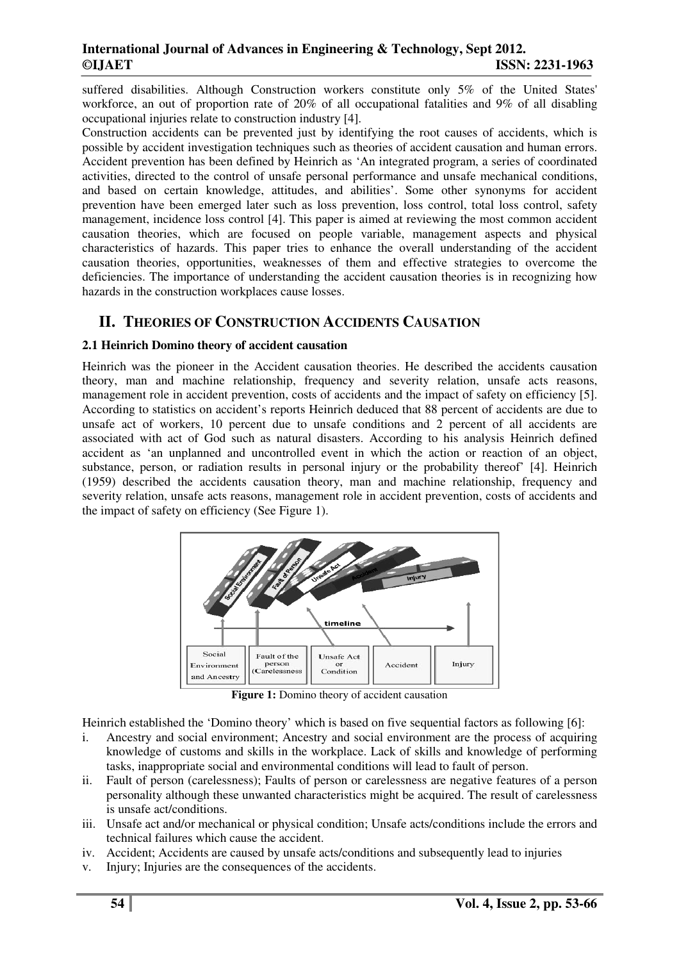suffered disabilities. Although Construction workers constitute only 5% of the United States' workforce, an out of proportion rate of 20% of all occupational fatalities and 9% of all disabling occupational injuries relate to construction industry [4].

Construction accidents can be prevented just by identifying the root causes of accidents, which is possible by accident investigation techniques such as theories of accident causation and human errors. Accident prevention has been defined by Heinrich as 'An integrated program, a series of coordinated activities, directed to the control of unsafe personal performance and unsafe mechanical conditions, and based on certain knowledge, attitudes, and abilities'. Some other synonyms for accident prevention have been emerged later such as loss prevention, loss control, total loss control, safety management, incidence loss control [4]. This paper is aimed at reviewing the most common accident causation theories, which are focused on people variable, management aspects and physical characteristics of hazards. This paper tries to enhance the overall understanding of the accident causation theories, opportunities, weaknesses of them and effective strategies to overcome the deficiencies. The importance of understanding the accident causation theories is in recognizing how hazards in the construction workplaces cause losses.

# **II. THEORIES OF CONSTRUCTION ACCIDENTS CAUSATION**

#### **2.1 Heinrich Domino theory of accident causation**

Heinrich was the pioneer in the Accident causation theories. He described the accidents causation theory, man and machine relationship, frequency and severity relation, unsafe acts reasons, management role in accident prevention, costs of accidents and the impact of safety on efficiency [5]. According to statistics on accident's reports Heinrich deduced that 88 percent of accidents are due to unsafe act of workers, 10 percent due to unsafe conditions and 2 percent of all accidents are associated with act of God such as natural disasters. According to his analysis Heinrich defined accident as 'an unplanned and uncontrolled event in which the action or reaction of an object, substance, person, or radiation results in personal injury or the probability thereof' [4]. Heinrich (1959) described the accidents causation theory, man and machine relationship, frequency and severity relation, unsafe acts reasons, management role in accident prevention, costs of accidents and the impact of safety on efficiency (See Figure 1).



**Figure 1:** Domino theory of accident causation

Heinrich established the 'Domino theory' which is based on five sequential factors as following [6]:

- i. Ancestry and social environment; Ancestry and social environment are the process of acquiring knowledge of customs and skills in the workplace. Lack of skills and knowledge of performing tasks, inappropriate social and environmental conditions will lead to fault of person.
- ii. Fault of person (carelessness); Faults of person or carelessness are negative features of a person personality although these unwanted characteristics might be acquired. The result of carelessness is unsafe act/conditions.
- iii. Unsafe act and/or mechanical or physical condition; Unsafe acts/conditions include the errors and technical failures which cause the accident.
- iv. Accident: Accidents are caused by unsafe acts/conditions and subsequently lead to injuries
- v. Injury; Injuries are the consequences of the accidents.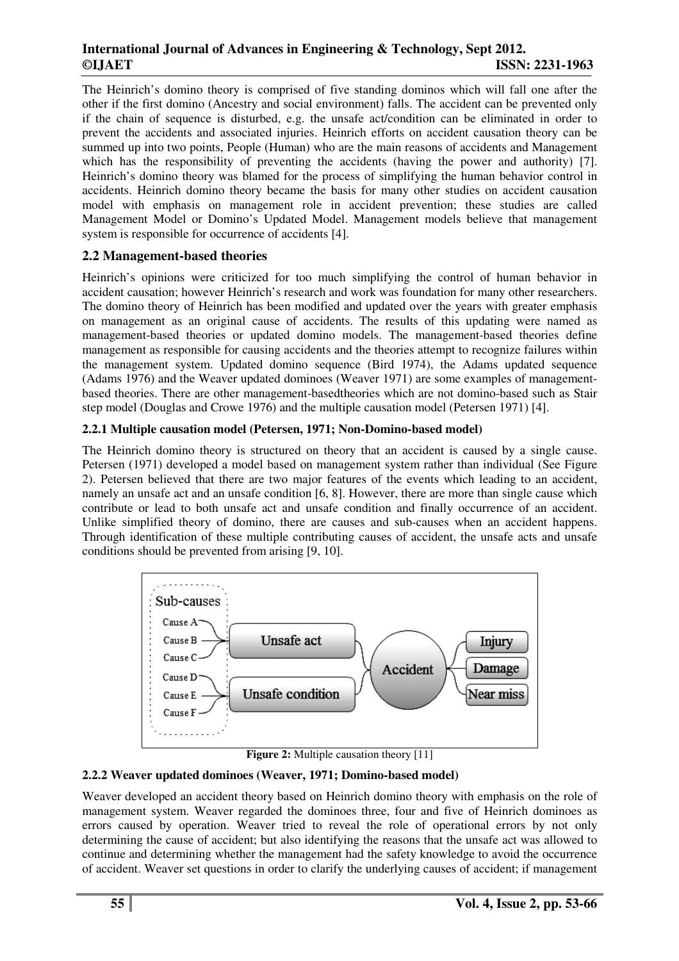The Heinrich's domino theory is comprised of five standing dominos which will fall one after the other if the first domino (Ancestry and social environment) falls. The accident can be prevented only if the chain of sequence is disturbed, e.g. the unsafe act/condition can be eliminated in order to prevent the accidents and associated injuries. Heinrich efforts on accident causation theory can be summed up into two points, People (Human) who are the main reasons of accidents and Management which has the responsibility of preventing the accidents (having the power and authority) [7]. Heinrich's domino theory was blamed for the process of simplifying the human behavior control in accidents. Heinrich domino theory became the basis for many other studies on accident causation model with emphasis on management role in accident prevention; these studies are called Management Model or Domino's Updated Model. Management models believe that management system is responsible for occurrence of accidents [4].

# **2.2 Management-based theories**

Heinrich's opinions were criticized for too much simplifying the control of human behavior in accident causation; however Heinrich's research and work was foundation for many other researchers. The domino theory of Heinrich has been modified and updated over the years with greater emphasis on management as an original cause of accidents. The results of this updating were named as management-based theories or updated domino models. The management-based theories define management as responsible for causing accidents and the theories attempt to recognize failures within the management system. Updated domino sequence (Bird 1974), the Adams updated sequence (Adams 1976) and the Weaver updated dominoes (Weaver 1971) are some examples of managementbased theories. There are other management-basedtheories which are not domino-based such as Stair step model (Douglas and Crowe 1976) and the multiple causation model (Petersen 1971) [4].

#### **2.2.1 Multiple causation model (Petersen, 1971; Non-Domino-based model)**

The Heinrich domino theory is structured on theory that an accident is caused by a single cause. Petersen (1971) developed a model based on management system rather than individual (See Figure 2). Petersen believed that there are two major features of the events which leading to an accident, namely an unsafe act and an unsafe condition [6, 8]. However, there are more than single cause which contribute or lead to both unsafe act and unsafe condition and finally occurrence of an accident. Unlike simplified theory of domino, there are causes and sub-causes when an accident happens. Through identification of these multiple contributing causes of accident, the unsafe acts and unsafe conditions should be prevented from arising [9, 10].



**Figure 2:** Multiple causation theory [11]

#### **2.2.2 Weaver updated dominoes (Weaver, 1971; Domino-based model)**

Weaver developed an accident theory based on Heinrich domino theory with emphasis on the role of management system. Weaver regarded the dominoes three, four and five of Heinrich dominoes as errors caused by operation. Weaver tried to reveal the role of operational errors by not only determining the cause of accident; but also identifying the reasons that the unsafe act was allowed to continue and determining whether the management had the safety knowledge to avoid the occurrence of accident. Weaver set questions in order to clarify the underlying causes of accident; if management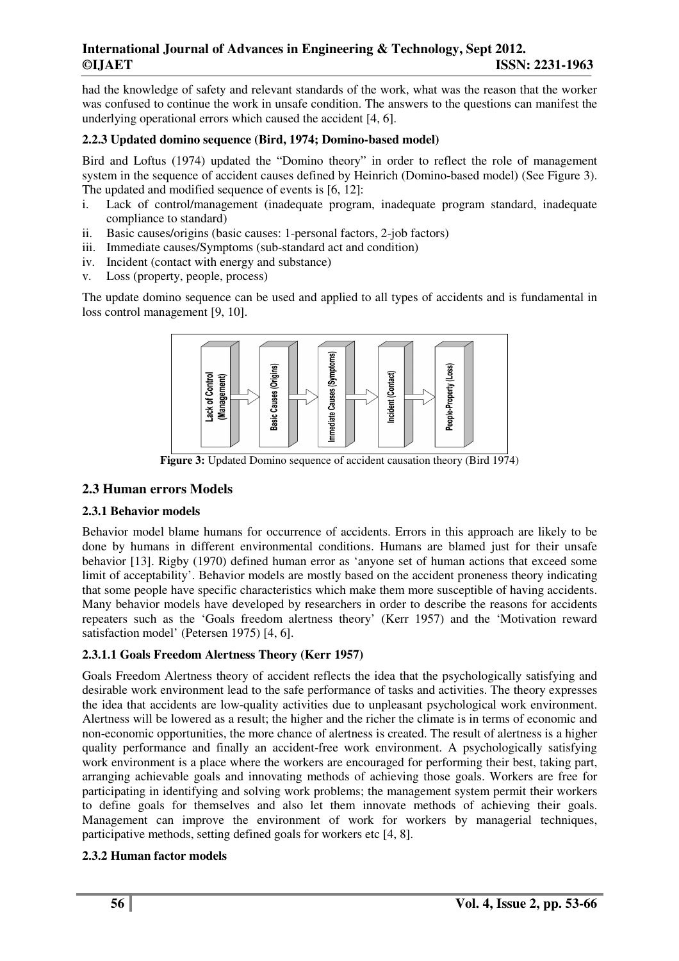had the knowledge of safety and relevant standards of the work, what was the reason that the worker was confused to continue the work in unsafe condition. The answers to the questions can manifest the underlying operational errors which caused the accident [4, 6].

## **2.2.3 Updated domino sequence (Bird, 1974; Domino-based model)**

Bird and Loftus (1974) updated the "Domino theory" in order to reflect the role of management system in the sequence of accident causes defined by Heinrich (Domino-based model) (See Figure 3). The updated and modified sequence of events is [6, 12]:

- i. Lack of control/management (inadequate program, inadequate program standard, inadequate compliance to standard)
- ii. Basic causes/origins (basic causes: 1-personal factors, 2-job factors)
- iii. Immediate causes/Symptoms (sub-standard act and condition)
- iv. Incident (contact with energy and substance)
- v. Loss (property, people, process)

The update domino sequence can be used and applied to all types of accidents and is fundamental in loss control management [9, 10].



**Figure 3:** Updated Domino sequence of accident causation theory (Bird 1974)

# **2.3 Human errors Models**

#### **2.3.1 Behavior models**

Behavior model blame humans for occurrence of accidents. Errors in this approach are likely to be done by humans in different environmental conditions. Humans are blamed just for their unsafe behavior [13]. Rigby (1970) defined human error as 'anyone set of human actions that exceed some limit of acceptability'. Behavior models are mostly based on the accident proneness theory indicating that some people have specific characteristics which make them more susceptible of having accidents. Many behavior models have developed by researchers in order to describe the reasons for accidents repeaters such as the 'Goals freedom alertness theory' (Kerr 1957) and the 'Motivation reward satisfaction model' (Petersen 1975) [4, 6].

# **2.3.1.1 Goals Freedom Alertness Theory (Kerr 1957)**

Goals Freedom Alertness theory of accident reflects the idea that the psychologically satisfying and desirable work environment lead to the safe performance of tasks and activities. The theory expresses the idea that accidents are low-quality activities due to unpleasant psychological work environment. Alertness will be lowered as a result; the higher and the richer the climate is in terms of economic and non-economic opportunities, the more chance of alertness is created. The result of alertness is a higher quality performance and finally an accident-free work environment. A psychologically satisfying work environment is a place where the workers are encouraged for performing their best, taking part, arranging achievable goals and innovating methods of achieving those goals. Workers are free for participating in identifying and solving work problems; the management system permit their workers to define goals for themselves and also let them innovate methods of achieving their goals. Management can improve the environment of work for workers by managerial techniques, participative methods, setting defined goals for workers etc [4, 8].

# **2.3.2 Human factor models**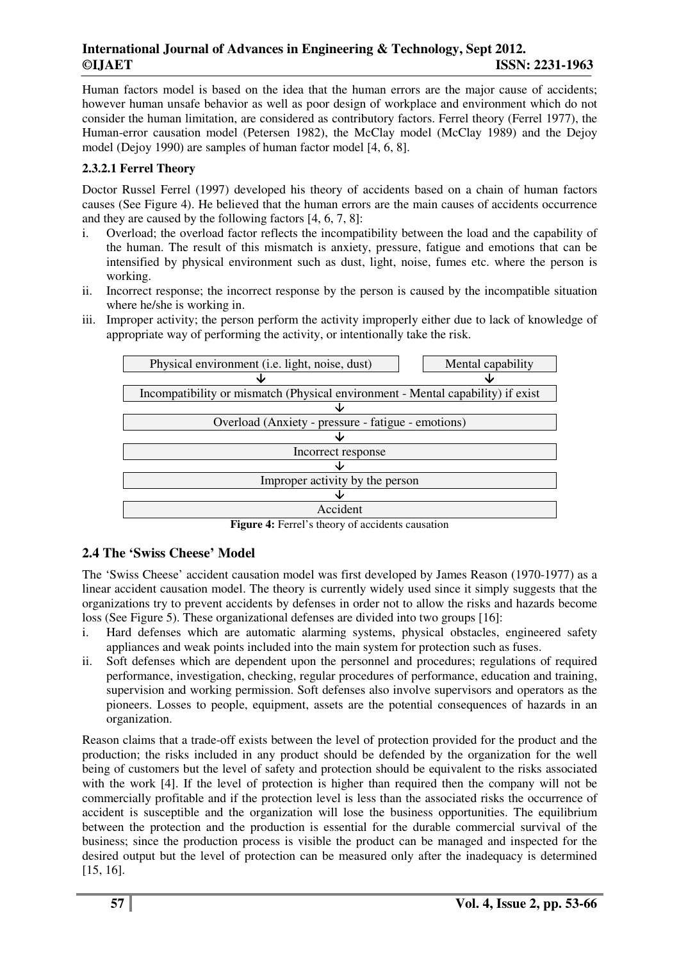Human factors model is based on the idea that the human errors are the major cause of accidents; however human unsafe behavior as well as poor design of workplace and environment which do not consider the human limitation, are considered as contributory factors. Ferrel theory (Ferrel 1977), the Human-error causation model (Petersen 1982), the McClay model (McClay 1989) and the Dejoy model (Dejoy 1990) are samples of human factor model [4, 6, 8].

## **2.3.2.1 Ferrel Theory**

Doctor Russel Ferrel (1997) developed his theory of accidents based on a chain of human factors causes (See Figure 4). He believed that the human errors are the main causes of accidents occurrence and they are caused by the following factors [4, 6, 7, 8]:

- i. Overload; the overload factor reflects the incompatibility between the load and the capability of the human. The result of this mismatch is anxiety, pressure, fatigue and emotions that can be intensified by physical environment such as dust, light, noise, fumes etc. where the person is working.
- ii. Incorrect response; the incorrect response by the person is caused by the incompatible situation where he/she is working in.
- iii. Improper activity; the person perform the activity improperly either due to lack of knowledge of appropriate way of performing the activity, or intentionally take the risk.

| Physical environment (i.e. light, noise, dust)                                  | Mental capability |
|---------------------------------------------------------------------------------|-------------------|
|                                                                                 |                   |
| Incompatibility or mismatch (Physical environment - Mental capability) if exist |                   |
|                                                                                 |                   |
| Overload (Anxiety - pressure - fatigue - emotions)                              |                   |
|                                                                                 |                   |
| Incorrect response                                                              |                   |
|                                                                                 |                   |
| Improper activity by the person                                                 |                   |
|                                                                                 |                   |
| $\Delta$ crident                                                                |                   |

**Figure 4:** Ferrel's theory of accidents causation

# **2.4 The 'Swiss Cheese' Model**

The 'Swiss Cheese' accident causation model was first developed by James Reason (1970-1977) as a linear accident causation model. The theory is currently widely used since it simply suggests that the organizations try to prevent accidents by defenses in order not to allow the risks and hazards become loss (See Figure 5). These organizational defenses are divided into two groups [16]:

- i. Hard defenses which are automatic alarming systems, physical obstacles, engineered safety appliances and weak points included into the main system for protection such as fuses.
- ii. Soft defenses which are dependent upon the personnel and procedures; regulations of required performance, investigation, checking, regular procedures of performance, education and training, supervision and working permission. Soft defenses also involve supervisors and operators as the pioneers. Losses to people, equipment, assets are the potential consequences of hazards in an organization.

Reason claims that a trade-off exists between the level of protection provided for the product and the production; the risks included in any product should be defended by the organization for the well being of customers but the level of safety and protection should be equivalent to the risks associated with the work [4]. If the level of protection is higher than required then the company will not be commercially profitable and if the protection level is less than the associated risks the occurrence of accident is susceptible and the organization will lose the business opportunities. The equilibrium between the protection and the production is essential for the durable commercial survival of the business; since the production process is visible the product can be managed and inspected for the desired output but the level of protection can be measured only after the inadequacy is determined [15, 16].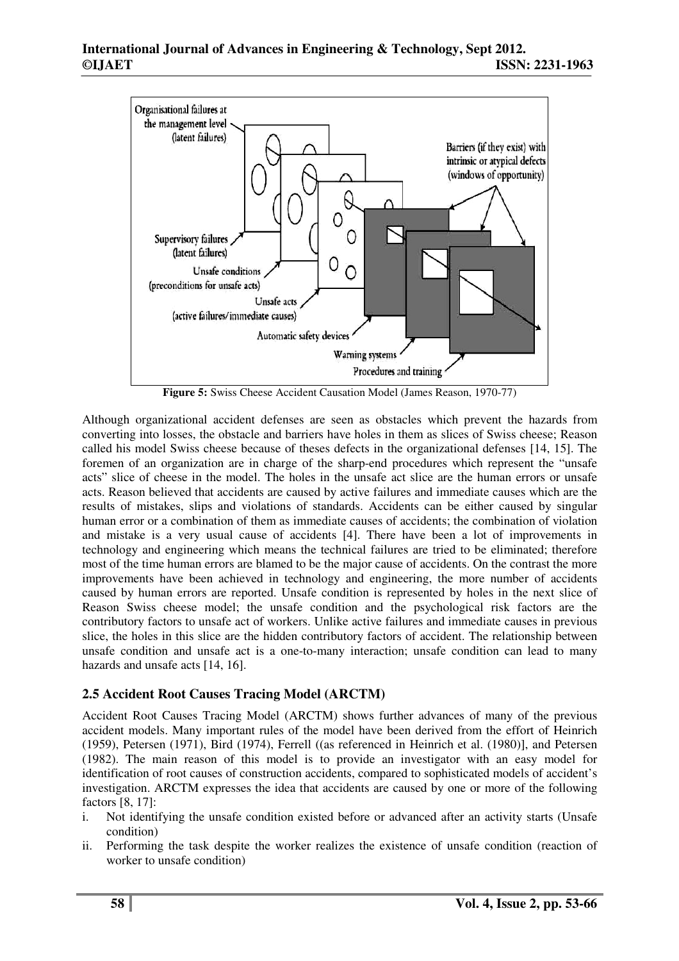

**Figure 5:** Swiss Cheese Accident Causation Model (James Reason, 1970-77)

Although organizational accident defenses are seen as obstacles which prevent the hazards from converting into losses, the obstacle and barriers have holes in them as slices of Swiss cheese; Reason called his model Swiss cheese because of theses defects in the organizational defenses [14, 15]. The foremen of an organization are in charge of the sharp-end procedures which represent the "unsafe acts" slice of cheese in the model. The holes in the unsafe act slice are the human errors or unsafe acts. Reason believed that accidents are caused by active failures and immediate causes which are the results of mistakes, slips and violations of standards. Accidents can be either caused by singular human error or a combination of them as immediate causes of accidents; the combination of violation and mistake is a very usual cause of accidents [4]. There have been a lot of improvements in technology and engineering which means the technical failures are tried to be eliminated; therefore most of the time human errors are blamed to be the major cause of accidents. On the contrast the more improvements have been achieved in technology and engineering, the more number of accidents caused by human errors are reported. Unsafe condition is represented by holes in the next slice of Reason Swiss cheese model; the unsafe condition and the psychological risk factors are the contributory factors to unsafe act of workers. Unlike active failures and immediate causes in previous slice, the holes in this slice are the hidden contributory factors of accident. The relationship between unsafe condition and unsafe act is a one-to-many interaction; unsafe condition can lead to many hazards and unsafe acts [14, 16].

# **2.5 Accident Root Causes Tracing Model (ARCTM)**

Accident Root Causes Tracing Model (ARCTM) shows further advances of many of the previous accident models. Many important rules of the model have been derived from the effort of Heinrich (1959), Petersen (1971), Bird (1974), Ferrell ((as referenced in Heinrich et al. (1980)], and Petersen (1982). The main reason of this model is to provide an investigator with an easy model for identification of root causes of construction accidents, compared to sophisticated models of accident's investigation. ARCTM expresses the idea that accidents are caused by one or more of the following factors [8, 17]:

- i. Not identifying the unsafe condition existed before or advanced after an activity starts (Unsafe condition)
- ii. Performing the task despite the worker realizes the existence of unsafe condition (reaction of worker to unsafe condition)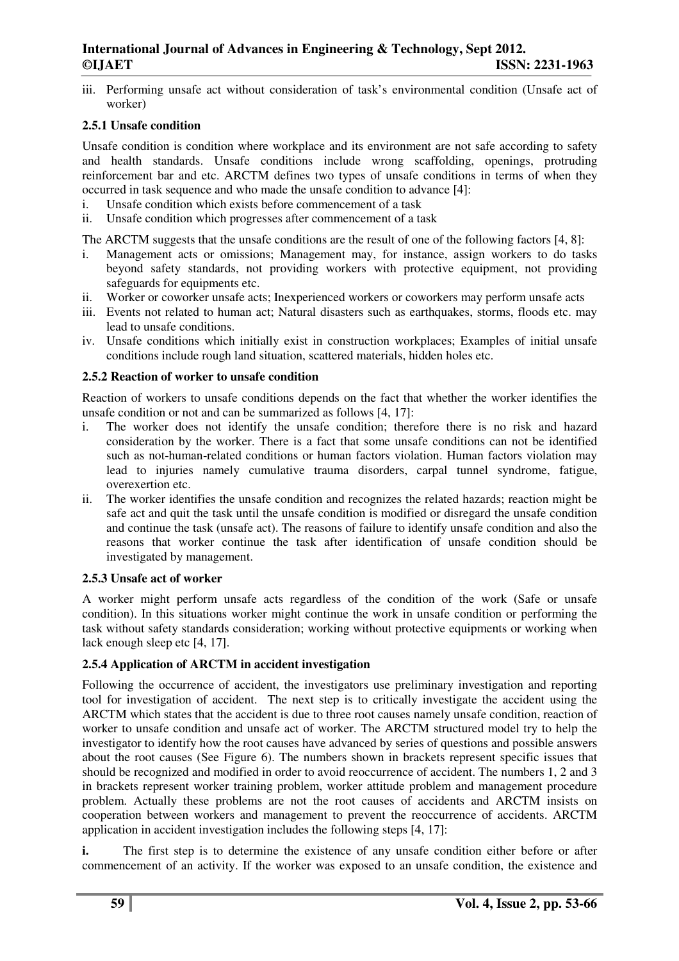iii. Performing unsafe act without consideration of task's environmental condition (Unsafe act of worker)

## **2.5.1 Unsafe condition**

Unsafe condition is condition where workplace and its environment are not safe according to safety and health standards. Unsafe conditions include wrong scaffolding, openings, protruding reinforcement bar and etc. ARCTM defines two types of unsafe conditions in terms of when they occurred in task sequence and who made the unsafe condition to advance [4]:

- i. Unsafe condition which exists before commencement of a task
- ii. Unsafe condition which progresses after commencement of a task

The ARCTM suggests that the unsafe conditions are the result of one of the following factors [4, 8]:

- i. Management acts or omissions; Management may, for instance, assign workers to do tasks beyond safety standards, not providing workers with protective equipment, not providing safeguards for equipments etc.
- ii. Worker or coworker unsafe acts; Inexperienced workers or coworkers may perform unsafe acts
- iii. Events not related to human act; Natural disasters such as earthquakes, storms, floods etc. may lead to unsafe conditions.
- iv. Unsafe conditions which initially exist in construction workplaces; Examples of initial unsafe conditions include rough land situation, scattered materials, hidden holes etc.

## **2.5.2 Reaction of worker to unsafe condition**

Reaction of workers to unsafe conditions depends on the fact that whether the worker identifies the unsafe condition or not and can be summarized as follows [4, 17]:

- i. The worker does not identify the unsafe condition; therefore there is no risk and hazard consideration by the worker. There is a fact that some unsafe conditions can not be identified such as not-human-related conditions or human factors violation. Human factors violation may lead to injuries namely cumulative trauma disorders, carpal tunnel syndrome, fatigue, overexertion etc.
- ii. The worker identifies the unsafe condition and recognizes the related hazards; reaction might be safe act and quit the task until the unsafe condition is modified or disregard the unsafe condition and continue the task (unsafe act). The reasons of failure to identify unsafe condition and also the reasons that worker continue the task after identification of unsafe condition should be investigated by management.

#### **2.5.3 Unsafe act of worker**

A worker might perform unsafe acts regardless of the condition of the work (Safe or unsafe condition). In this situations worker might continue the work in unsafe condition or performing the task without safety standards consideration; working without protective equipments or working when lack enough sleep etc [4, 17].

# **2.5.4 Application of ARCTM in accident investigation**

Following the occurrence of accident, the investigators use preliminary investigation and reporting tool for investigation of accident. The next step is to critically investigate the accident using the ARCTM which states that the accident is due to three root causes namely unsafe condition, reaction of worker to unsafe condition and unsafe act of worker. The ARCTM structured model try to help the investigator to identify how the root causes have advanced by series of questions and possible answers about the root causes (See Figure 6). The numbers shown in brackets represent specific issues that should be recognized and modified in order to avoid reoccurrence of accident. The numbers 1, 2 and 3 in brackets represent worker training problem, worker attitude problem and management procedure problem. Actually these problems are not the root causes of accidents and ARCTM insists on cooperation between workers and management to prevent the reoccurrence of accidents. ARCTM application in accident investigation includes the following steps [4, 17]:

**i.** The first step is to determine the existence of any unsafe condition either before or after commencement of an activity. If the worker was exposed to an unsafe condition, the existence and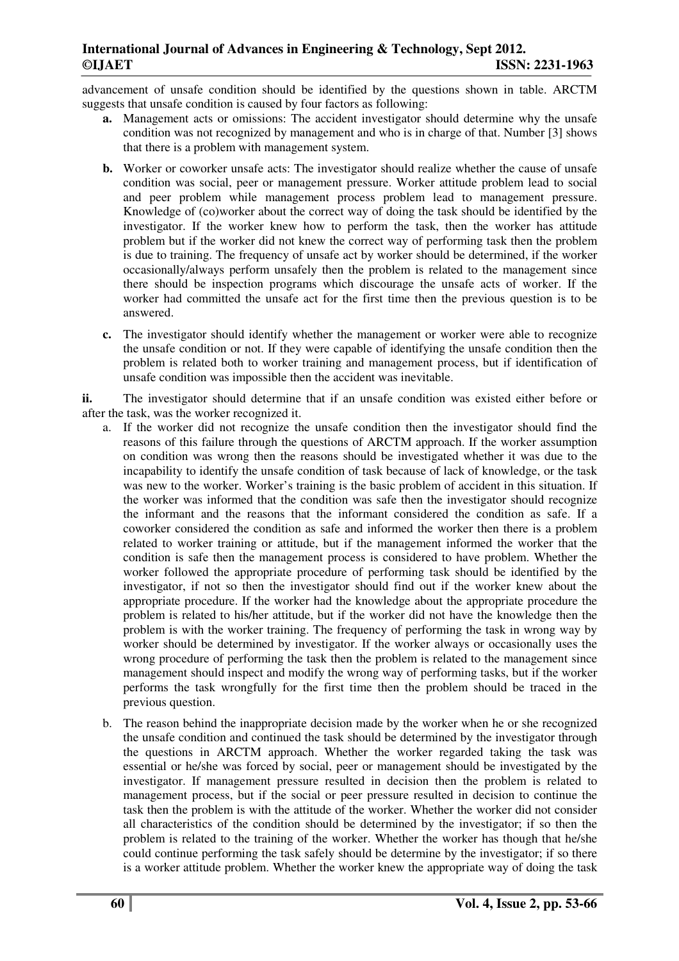advancement of unsafe condition should be identified by the questions shown in table. ARCTM suggests that unsafe condition is caused by four factors as following:

- **a.** Management acts or omissions: The accident investigator should determine why the unsafe condition was not recognized by management and who is in charge of that. Number [3] shows that there is a problem with management system.
- **b.** Worker or coworker unsafe acts: The investigator should realize whether the cause of unsafe condition was social, peer or management pressure. Worker attitude problem lead to social and peer problem while management process problem lead to management pressure. Knowledge of (co)worker about the correct way of doing the task should be identified by the investigator. If the worker knew how to perform the task, then the worker has attitude problem but if the worker did not knew the correct way of performing task then the problem is due to training. The frequency of unsafe act by worker should be determined, if the worker occasionally/always perform unsafely then the problem is related to the management since there should be inspection programs which discourage the unsafe acts of worker. If the worker had committed the unsafe act for the first time then the previous question is to be answered.
- **c.** The investigator should identify whether the management or worker were able to recognize the unsafe condition or not. If they were capable of identifying the unsafe condition then the problem is related both to worker training and management process, but if identification of unsafe condition was impossible then the accident was inevitable.

**ii.** The investigator should determine that if an unsafe condition was existed either before or after the task, was the worker recognized it.

- a. If the worker did not recognize the unsafe condition then the investigator should find the reasons of this failure through the questions of ARCTM approach. If the worker assumption on condition was wrong then the reasons should be investigated whether it was due to the incapability to identify the unsafe condition of task because of lack of knowledge, or the task was new to the worker. Worker's training is the basic problem of accident in this situation. If the worker was informed that the condition was safe then the investigator should recognize the informant and the reasons that the informant considered the condition as safe. If a coworker considered the condition as safe and informed the worker then there is a problem related to worker training or attitude, but if the management informed the worker that the condition is safe then the management process is considered to have problem. Whether the worker followed the appropriate procedure of performing task should be identified by the investigator, if not so then the investigator should find out if the worker knew about the appropriate procedure. If the worker had the knowledge about the appropriate procedure the problem is related to his/her attitude, but if the worker did not have the knowledge then the problem is with the worker training. The frequency of performing the task in wrong way by worker should be determined by investigator. If the worker always or occasionally uses the wrong procedure of performing the task then the problem is related to the management since management should inspect and modify the wrong way of performing tasks, but if the worker performs the task wrongfully for the first time then the problem should be traced in the previous question.
- b. The reason behind the inappropriate decision made by the worker when he or she recognized the unsafe condition and continued the task should be determined by the investigator through the questions in ARCTM approach. Whether the worker regarded taking the task was essential or he/she was forced by social, peer or management should be investigated by the investigator. If management pressure resulted in decision then the problem is related to management process, but if the social or peer pressure resulted in decision to continue the task then the problem is with the attitude of the worker. Whether the worker did not consider all characteristics of the condition should be determined by the investigator; if so then the problem is related to the training of the worker. Whether the worker has though that he/she could continue performing the task safely should be determine by the investigator; if so there is a worker attitude problem. Whether the worker knew the appropriate way of doing the task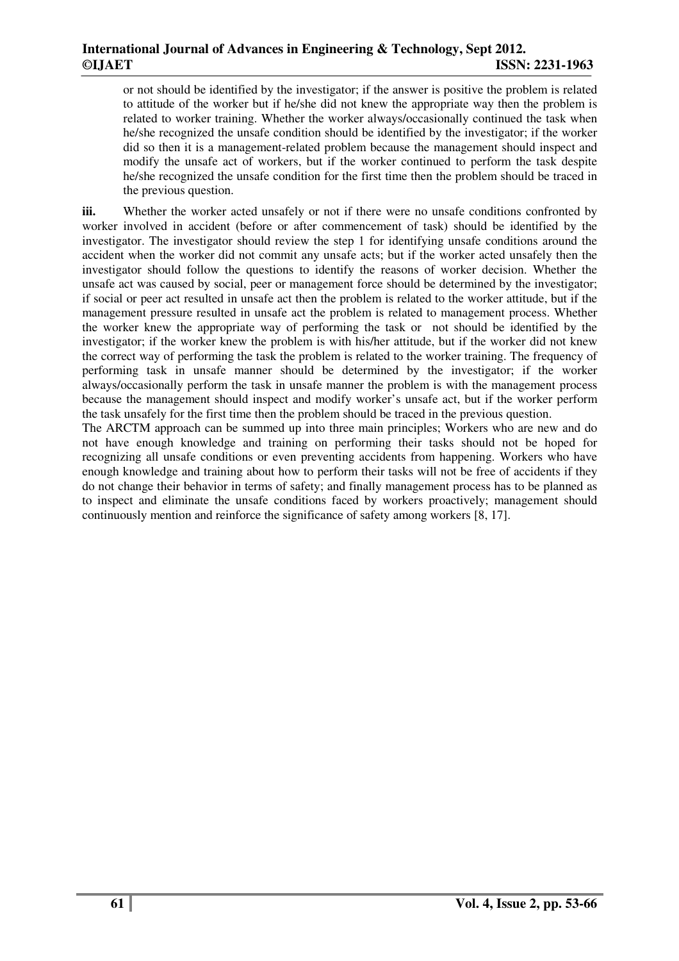or not should be identified by the investigator; if the answer is positive the problem is related to attitude of the worker but if he/she did not knew the appropriate way then the problem is related to worker training. Whether the worker always/occasionally continued the task when he/she recognized the unsafe condition should be identified by the investigator; if the worker did so then it is a management-related problem because the management should inspect and modify the unsafe act of workers, but if the worker continued to perform the task despite he/she recognized the unsafe condition for the first time then the problem should be traced in the previous question.

**iii.** Whether the worker acted unsafely or not if there were no unsafe conditions confronted by worker involved in accident (before or after commencement of task) should be identified by the investigator. The investigator should review the step 1 for identifying unsafe conditions around the accident when the worker did not commit any unsafe acts; but if the worker acted unsafely then the investigator should follow the questions to identify the reasons of worker decision. Whether the unsafe act was caused by social, peer or management force should be determined by the investigator; if social or peer act resulted in unsafe act then the problem is related to the worker attitude, but if the management pressure resulted in unsafe act the problem is related to management process. Whether the worker knew the appropriate way of performing the task or not should be identified by the investigator; if the worker knew the problem is with his/her attitude, but if the worker did not knew the correct way of performing the task the problem is related to the worker training. The frequency of performing task in unsafe manner should be determined by the investigator; if the worker always/occasionally perform the task in unsafe manner the problem is with the management process because the management should inspect and modify worker's unsafe act, but if the worker perform the task unsafely for the first time then the problem should be traced in the previous question.

The ARCTM approach can be summed up into three main principles; Workers who are new and do not have enough knowledge and training on performing their tasks should not be hoped for recognizing all unsafe conditions or even preventing accidents from happening. Workers who have enough knowledge and training about how to perform their tasks will not be free of accidents if they do not change their behavior in terms of safety; and finally management process has to be planned as to inspect and eliminate the unsafe conditions faced by workers proactively; management should continuously mention and reinforce the significance of safety among workers [8, 17].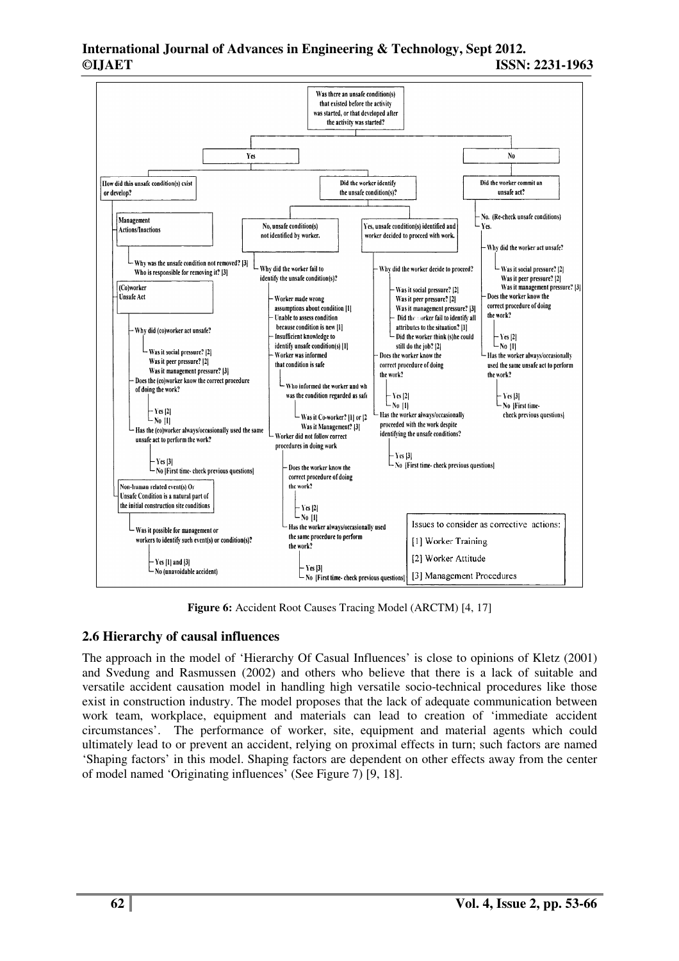

**Figure 6:** Accident Root Causes Tracing Model (ARCTM) [4, 17]

# **2.6 Hierarchy of causal influences**

The approach in the model of 'Hierarchy Of Casual Influences' is close to opinions of Kletz (2001) and Svedung and Rasmussen (2002) and others who believe that there is a lack of suitable and versatile accident causation model in handling high versatile socio-technical procedures like those exist in construction industry. The model proposes that the lack of adequate communication between work team, workplace, equipment and materials can lead to creation of 'immediate accident circumstances'. The performance of worker, site, equipment and material agents which could ultimately lead to or prevent an accident, relying on proximal effects in turn; such factors are named 'Shaping factors' in this model. Shaping factors are dependent on other effects away from the center of model named 'Originating influences' (See Figure 7) [9, 18].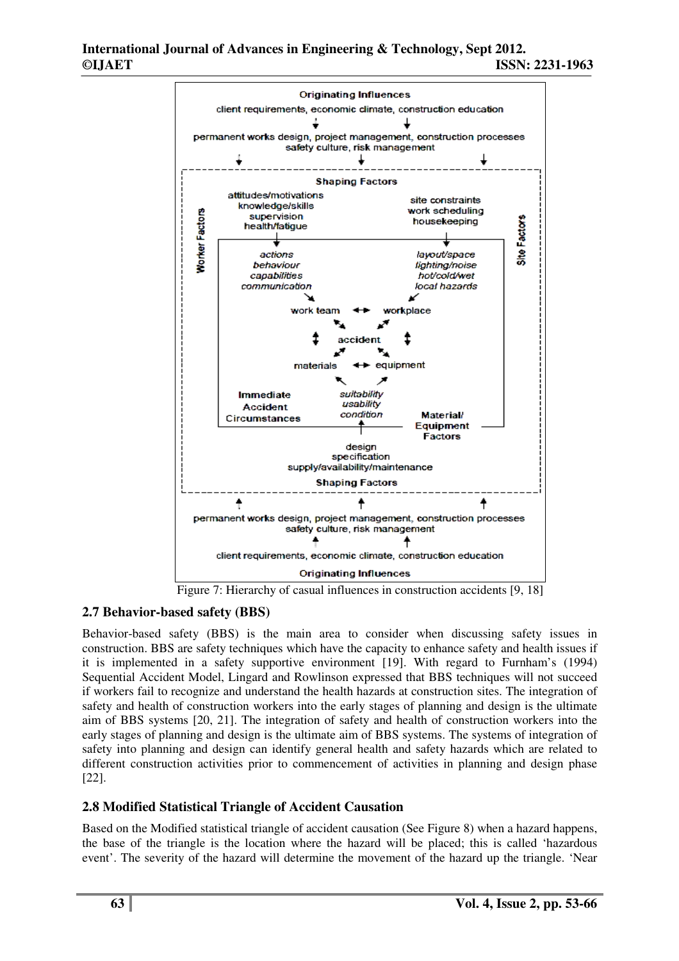

# **2.7 Behavior-based safety (BBS)**

Behavior-based safety (BBS) is the main area to consider when discussing safety issues in construction. BBS are safety techniques which have the capacity to enhance safety and health issues if it is implemented in a safety supportive environment [19]. With regard to Furnham's (1994) Sequential Accident Model, Lingard and Rowlinson expressed that BBS techniques will not succeed if workers fail to recognize and understand the health hazards at construction sites. The integration of safety and health of construction workers into the early stages of planning and design is the ultimate aim of BBS systems [20, 21]. The integration of safety and health of construction workers into the early stages of planning and design is the ultimate aim of BBS systems. The systems of integration of safety into planning and design can identify general health and safety hazards which are related to different construction activities prior to commencement of activities in planning and design phase [22].

# **2.8 Modified Statistical Triangle of Accident Causation**

Based on the Modified statistical triangle of accident causation (See Figure 8) when a hazard happens, the base of the triangle is the location where the hazard will be placed; this is called 'hazardous event'. The severity of the hazard will determine the movement of the hazard up the triangle. 'Near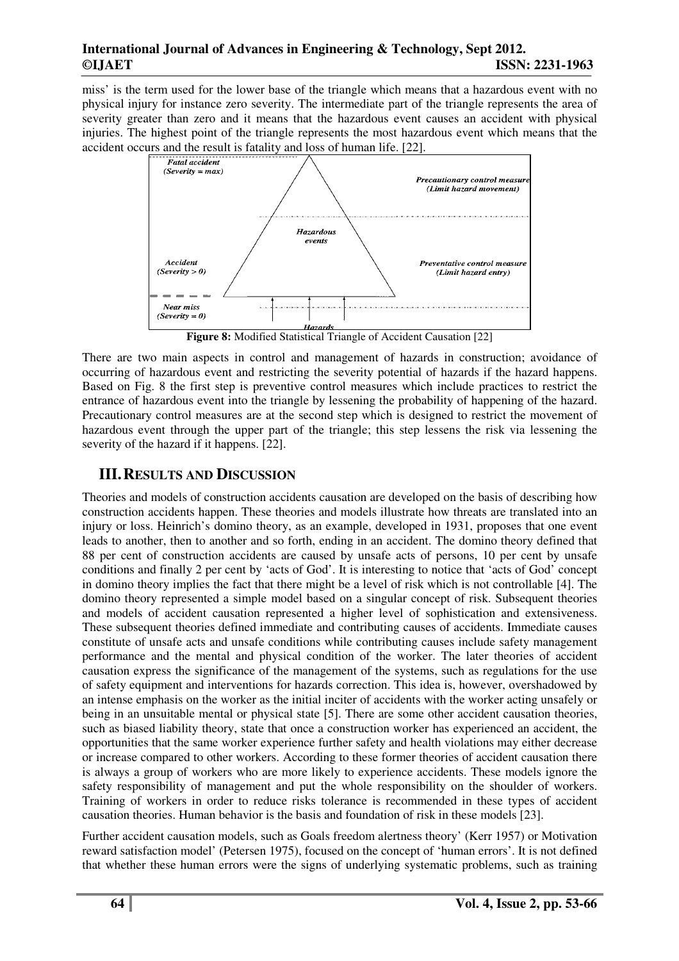miss' is the term used for the lower base of the triangle which means that a hazardous event with no physical injury for instance zero severity. The intermediate part of the triangle represents the area of severity greater than zero and it means that the hazardous event causes an accident with physical injuries. The highest point of the triangle represents the most hazardous event which means that the accident occurs and the result is fatality and loss of human life. [22].



**Figure 8:** Modified Statistical Triangle of Accident Causation [22]

There are two main aspects in control and management of hazards in construction; avoidance of occurring of hazardous event and restricting the severity potential of hazards if the hazard happens. Based on Fig. 8 the first step is preventive control measures which include practices to restrict the entrance of hazardous event into the triangle by lessening the probability of happening of the hazard. Precautionary control measures are at the second step which is designed to restrict the movement of hazardous event through the upper part of the triangle; this step lessens the risk via lessening the severity of the hazard if it happens. [22].

# **III.RESULTS AND DISCUSSION**

Theories and models of construction accidents causation are developed on the basis of describing how construction accidents happen. These theories and models illustrate how threats are translated into an injury or loss. Heinrich's domino theory, as an example, developed in 1931, proposes that one event leads to another, then to another and so forth, ending in an accident. The domino theory defined that 88 per cent of construction accidents are caused by unsafe acts of persons, 10 per cent by unsafe conditions and finally 2 per cent by 'acts of God'. It is interesting to notice that 'acts of God' concept in domino theory implies the fact that there might be a level of risk which is not controllable [4]. The domino theory represented a simple model based on a singular concept of risk. Subsequent theories and models of accident causation represented a higher level of sophistication and extensiveness. These subsequent theories defined immediate and contributing causes of accidents. Immediate causes constitute of unsafe acts and unsafe conditions while contributing causes include safety management performance and the mental and physical condition of the worker. The later theories of accident causation express the significance of the management of the systems, such as regulations for the use of safety equipment and interventions for hazards correction. This idea is, however, overshadowed by an intense emphasis on the worker as the initial inciter of accidents with the worker acting unsafely or being in an unsuitable mental or physical state [5]. There are some other accident causation theories, such as biased liability theory, state that once a construction worker has experienced an accident, the opportunities that the same worker experience further safety and health violations may either decrease or increase compared to other workers. According to these former theories of accident causation there is always a group of workers who are more likely to experience accidents. These models ignore the safety responsibility of management and put the whole responsibility on the shoulder of workers. Training of workers in order to reduce risks tolerance is recommended in these types of accident causation theories. Human behavior is the basis and foundation of risk in these models [23].

Further accident causation models, such as Goals freedom alertness theory' (Kerr 1957) or Motivation reward satisfaction model' (Petersen 1975), focused on the concept of 'human errors'. It is not defined that whether these human errors were the signs of underlying systematic problems, such as training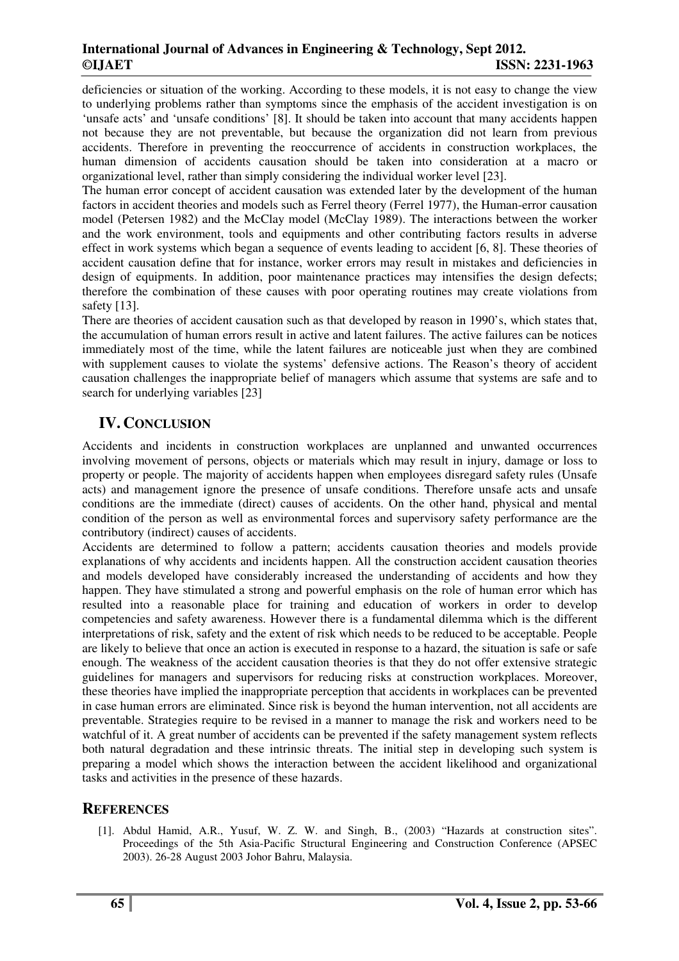deficiencies or situation of the working. According to these models, it is not easy to change the view to underlying problems rather than symptoms since the emphasis of the accident investigation is on 'unsafe acts' and 'unsafe conditions' [8]. It should be taken into account that many accidents happen not because they are not preventable, but because the organization did not learn from previous accidents. Therefore in preventing the reoccurrence of accidents in construction workplaces, the human dimension of accidents causation should be taken into consideration at a macro or organizational level, rather than simply considering the individual worker level [23].

The human error concept of accident causation was extended later by the development of the human factors in accident theories and models such as Ferrel theory (Ferrel 1977), the Human-error causation model (Petersen 1982) and the McClay model (McClay 1989). The interactions between the worker and the work environment, tools and equipments and other contributing factors results in adverse effect in work systems which began a sequence of events leading to accident [6, 8]. These theories of accident causation define that for instance, worker errors may result in mistakes and deficiencies in design of equipments. In addition, poor maintenance practices may intensifies the design defects; therefore the combination of these causes with poor operating routines may create violations from safety [13].

There are theories of accident causation such as that developed by reason in 1990's, which states that, the accumulation of human errors result in active and latent failures. The active failures can be notices immediately most of the time, while the latent failures are noticeable just when they are combined with supplement causes to violate the systems' defensive actions. The Reason's theory of accident causation challenges the inappropriate belief of managers which assume that systems are safe and to search for underlying variables [23]

# **IV. CONCLUSION**

Accidents and incidents in construction workplaces are unplanned and unwanted occurrences involving movement of persons, objects or materials which may result in injury, damage or loss to property or people. The majority of accidents happen when employees disregard safety rules (Unsafe acts) and management ignore the presence of unsafe conditions. Therefore unsafe acts and unsafe conditions are the immediate (direct) causes of accidents. On the other hand, physical and mental condition of the person as well as environmental forces and supervisory safety performance are the contributory (indirect) causes of accidents.

Accidents are determined to follow a pattern; accidents causation theories and models provide explanations of why accidents and incidents happen. All the construction accident causation theories and models developed have considerably increased the understanding of accidents and how they happen. They have stimulated a strong and powerful emphasis on the role of human error which has resulted into a reasonable place for training and education of workers in order to develop competencies and safety awareness. However there is a fundamental dilemma which is the different interpretations of risk, safety and the extent of risk which needs to be reduced to be acceptable. People are likely to believe that once an action is executed in response to a hazard, the situation is safe or safe enough. The weakness of the accident causation theories is that they do not offer extensive strategic guidelines for managers and supervisors for reducing risks at construction workplaces. Moreover, these theories have implied the inappropriate perception that accidents in workplaces can be prevented in case human errors are eliminated. Since risk is beyond the human intervention, not all accidents are preventable. Strategies require to be revised in a manner to manage the risk and workers need to be watchful of it. A great number of accidents can be prevented if the safety management system reflects both natural degradation and these intrinsic threats. The initial step in developing such system is preparing a model which shows the interaction between the accident likelihood and organizational tasks and activities in the presence of these hazards.

# **REFERENCES**

[1]. Abdul Hamid, A.R., Yusuf, W. Z. W. and Singh, B., (2003) "Hazards at construction sites". Proceedings of the 5th Asia-Pacific Structural Engineering and Construction Conference (APSEC 2003). 26-28 August 2003 Johor Bahru, Malaysia.